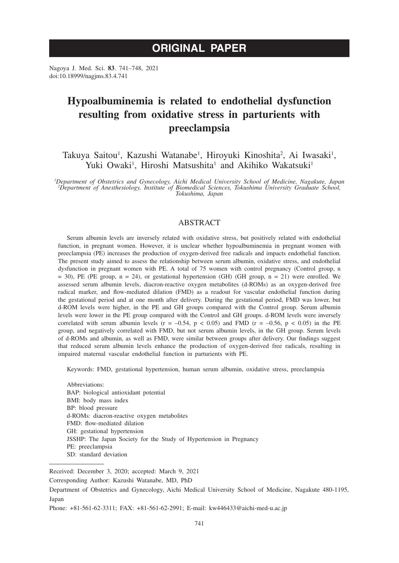# **ORIGINAL PAPER**

Nagoya J. Med. Sci. **83**. 741–748, 2021 doi:10.18999/nagjms.83.4.741

# **Hypoalbuminemia is related to endothelial dysfunction resulting from oxidative stress in parturients with preeclampsia**

Takuya Saitou<sup>1</sup>, Kazushi Watanabe<sup>1</sup>, Hiroyuki Kinoshita<sup>2</sup>, Ai Iwasaki<sup>1</sup>, Yuki Owaki<sup>1</sup>, Hiroshi Matsushita<sup>1</sup> and Akihiko Wakatsuki<sup>1</sup>

<sup>1</sup>Department of Obstetrics and Gynecology, Aichi Medical University School of Medicine, Nagakute, Japan<br><sup>2</sup>Department of Anesthesiology, Institute of Biomedical Sciences, Tokushima University Graduate School, *Tokushima, Japan*

## ABSTRACT

Serum albumin levels are inversely related with oxidative stress, but positively related with endothelial function, in pregnant women. However, it is unclear whether hypoalbuminemia in pregnant women with preeclampsia (PE) increases the production of oxygen-derived free radicals and impacts endothelial function. The present study aimed to assess the relationship between serum albumin, oxidative stress, and endothelial dysfunction in pregnant women with PE. A total of 75 women with control pregnancy (Control group, n  $=$  30), PE (PE group, n  $=$  24), or gestational hypertension (GH) (GH group, n  $=$  21) were enrolled. We assessed serum albumin levels, diacron-reactive oxygen metabolites (d-ROMs) as an oxygen-derived free radical marker, and flow-mediated dilation (FMD) as a readout for vascular endothelial function during the gestational period and at one month after delivery. During the gestational period, FMD was lower, but d-ROM levels were higher, in the PE and GH groups compared with the Control group. Serum albumin levels were lower in the PE group compared with the Control and GH groups. d-ROM levels were inversely correlated with serum albumin levels ( $r = -0.54$ ,  $p < 0.05$ ) and FMD ( $r = -0.56$ ,  $p < 0.05$ ) in the PE group, and negatively correlated with FMD, but not serum albumin levels, in the GH group. Serum levels of d-ROMs and albumin, as well as FMD, were similar between groups after delivery. Our findings suggest that reduced serum albumin levels enhance the production of oxygen-derived free radicals, resulting in impaired maternal vascular endothelial function in parturients with PE.

Keywords: FMD, gestational hypertension, human serum albumin, oxidative stress, preeclampsia

Abbreviations: BAP: biological antioxidant potential BMI: body mass index BP: blood pressure d-ROMs: diacron-reactive oxygen metabolites FMD: flow-mediated dilation GH: gestational hypertension JSSHP: The Japan Society for the Study of Hypertension in Pregnancy PE: preeclampsia SD: standard deviation

Received: December 3, 2020; accepted: March 9, 2021

Corresponding Author: Kazushi Watanabe, MD, PhD

Department of Obstetrics and Gynecology, Aichi Medical University School of Medicine, Nagakute 480-1195, Japan

Phone: +81-561-62-3311; FAX: +81-561-62-2991; E-mail: kw446433@aichi-med-u.ac.jp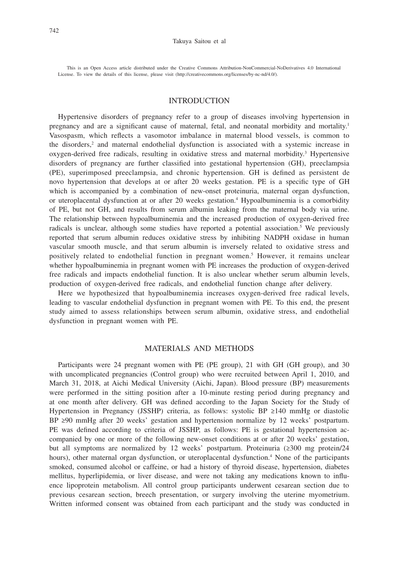This is an Open Access article distributed under the Creative Commons Attribution-NonCommercial-NoDerivatives 4.0 International License. To view the details of this license, please visit (http://creativecommons.org/licenses/by-nc-nd/4.0/).

## INTRODUCTION

Hypertensive disorders of pregnancy refer to a group of diseases involving hypertension in pregnancy and are a significant cause of maternal, fetal, and neonatal morbidity and mortality.1 Vasospasm, which reflects a vasomotor imbalance in maternal blood vessels, is common to the disorders,<sup>2</sup> and maternal endothelial dysfunction is associated with a systemic increase in oxygen-derived free radicals, resulting in oxidative stress and maternal morbidity.<sup>3</sup> Hypertensive disorders of pregnancy are further classified into gestational hypertension (GH), preeclampsia (PE), superimposed preeclampsia, and chronic hypertension. GH is defined as persistent de novo hypertension that develops at or after 20 weeks gestation. PE is a specific type of GH which is accompanied by a combination of new-onset proteinuria, maternal organ dysfunction, or uteroplacental dysfunction at or after 20 weeks gestation.<sup>4</sup> Hypoalbuminemia is a comorbidity of PE, but not GH, and results from serum albumin leaking from the maternal body via urine. The relationship between hypoalbuminemia and the increased production of oxygen-derived free radicals is unclear, although some studies have reported a potential association.<sup>5</sup> We previously reported that serum albumin reduces oxidative stress by inhibiting NADPH oxidase in human vascular smooth muscle, and that serum albumin is inversely related to oxidative stress and positively related to endothelial function in pregnant women.<sup>5</sup> However, it remains unclear whether hypoalbuminemia in pregnant women with PE increases the production of oxygen-derived free radicals and impacts endothelial function. It is also unclear whether serum albumin levels, production of oxygen-derived free radicals, and endothelial function change after delivery.

Here we hypothesized that hypoalbuminemia increases oxygen-derived free radical levels, leading to vascular endothelial dysfunction in pregnant women with PE. To this end, the present study aimed to assess relationships between serum albumin, oxidative stress, and endothelial dysfunction in pregnant women with PE.

## MATERIALS AND METHODS

Participants were 24 pregnant women with PE (PE group), 21 with GH (GH group), and 30 with uncomplicated pregnancies (Control group) who were recruited between April 1, 2010, and March 31, 2018, at Aichi Medical University (Aichi, Japan). Blood pressure (BP) measurements were performed in the sitting position after a 10-minute resting period during pregnancy and at one month after delivery. GH was defined according to the Japan Society for the Study of Hypertension in Pregnancy (JSSHP) criteria, as follows: systolic BP ≥140 mmHg or diastolic BP ≥90 mmHg after 20 weeks' gestation and hypertension normalize by 12 weeks' postpartum. PE was defined according to criteria of JSSHP, as follows: PE is gestational hypertension accompanied by one or more of the following new-onset conditions at or after 20 weeks' gestation, but all symptoms are normalized by 12 weeks' postpartum. Proteinuria (≥300 mg protein/24 hours), other maternal organ dysfunction, or uteroplacental dysfunction.<sup>4</sup> None of the participants smoked, consumed alcohol or caffeine, or had a history of thyroid disease, hypertension, diabetes mellitus, hyperlipidemia, or liver disease, and were not taking any medications known to influence lipoprotein metabolism. All control group participants underwent cesarean section due to previous cesarean section, breech presentation, or surgery involving the uterine myometrium. Written informed consent was obtained from each participant and the study was conducted in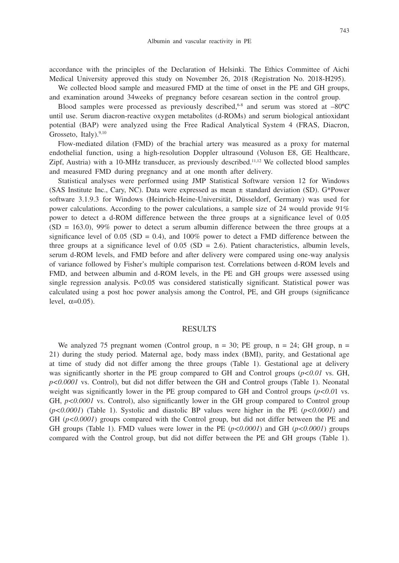accordance with the principles of the Declaration of Helsinki. The Ethics Committee of Aichi Medical University approved this study on November 26, 2018 (Registration No. 2018-H295).

We collected blood sample and measured FMD at the time of onset in the PE and GH groups, and examination around 34weeks of pregnancy before cesarean section in the control group.

Blood samples were processed as previously described,<sup>6-8</sup> and serum was stored at  $-80^{\circ}$ C until use. Serum diacron-reactive oxygen metabolites (d-ROMs) and serum biological antioxidant potential (BAP) were analyzed using the Free Radical Analytical System 4 (FRAS, Diacron, Grosseto, Italy).<sup>9,10</sup>

Flow-mediated dilation (FMD) of the brachial artery was measured as a proxy for maternal endothelial function, using a high-resolution Doppler ultrasound (Voluson E8, GE Healthcare, Zipf, Austria) with a 10-MHz transducer, as previously described.11,12 We collected blood samples and measured FMD during pregnancy and at one month after delivery.

Statistical analyses were performed using JMP Statistical Software version 12 for Windows (SAS Institute Inc., Cary, NC). Data were expressed as mean ± standard deviation (SD). G\*Power software 3.1.9.3 for Windows (Heinrich-Heine-Universität, Düsseldorf, Germany) was used for power calculations. According to the power calculations, a sample size of 24 would provide 91% power to detect a d-ROM difference between the three groups at a significance level of 0.05  $(SD = 163.0)$ , 99% power to detect a serum albumin difference between the three groups at a significance level of 0.05 (SD = 0.4), and 100% power to detect a FMD difference between the three groups at a significance level of  $0.05$  (SD = 2.6). Patient characteristics, albumin levels, serum d-ROM levels, and FMD before and after delivery were compared using one-way analysis of variance followed by Fisher's multiple comparison test. Correlations between d-ROM levels and FMD, and between albumin and d-ROM levels, in the PE and GH groups were assessed using single regression analysis. P<0.05 was considered statistically significant. Statistical power was calculated using a post hoc power analysis among the Control, PE, and GH groups (significance level,  $\alpha=0.05$ ).

## RESULTS

We analyzed 75 pregnant women (Control group,  $n = 30$ ; PE group,  $n = 24$ ; GH group,  $n =$ 21) during the study period. Maternal age, body mass index (BMI), parity, and Gestational age at time of study did not differ among the three groups (Table 1). Gestational age at delivery was significantly shorter in the PE group compared to GH and Control groups  $(p<0.01$  vs. GH, *p<0.0001* vs. Control), but did not differ between the GH and Control groups (Table 1). Neonatal weight was significantly lower in the PE group compared to GH and Control groups ( $p < 0.01$  vs. GH,  $p < 0.0001$  vs. Control), also significantly lower in the GH group compared to Control group (*p<0.0001*) (Table 1). Systolic and diastolic BP values were higher in the PE (*p<0.0001*) and GH  $(p<0.0001)$  groups compared with the Control group, but did not differ between the PE and GH groups (Table 1). FMD values were lower in the PE (*p<0.0001*) and GH (*p<0.0001*) groups compared with the Control group, but did not differ between the PE and GH groups (Table 1).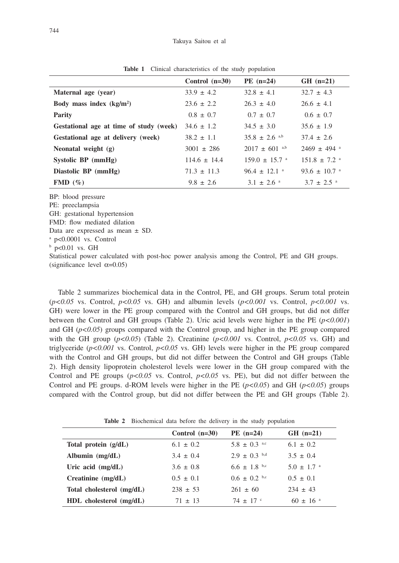|                                         | Control $(n=30)$ | $PE (n=24)$                   | $GH$ (n=21)                  |
|-----------------------------------------|------------------|-------------------------------|------------------------------|
| Maternal age (year)                     | $33.9 \pm 4.2$   | $32.8 \pm 4.1$                | $32.7 \pm 4.3$               |
| Body mass index $(kg/m2)$               | $23.6 \pm 2.2$   | $26.3 \pm 4.0$                | $26.6 \pm 4.1$               |
| <b>Parity</b>                           | $0.8 \pm 0.7$    | $0.7 \pm 0.7$                 | $0.6 \pm 0.7$                |
| Gestational age at time of study (week) | $34.6 \pm 1.2$   | $34.5 \pm 3.0$                | $35.6 \pm 1.9$               |
| Gestational age at delivery (week)      | $38.2 \pm 1.1$   | $35.8 \pm 2.6$ <sup>a,b</sup> | $37.4 \pm 2.6$               |
| Neonatal weight (g)                     | $3001 \pm 286$   | $2017 \pm 601$ a,b            | $2469 \pm 494$ <sup>a</sup>  |
| Systolic $BP$ (mmHg)                    | $114.6 + 14.4$   | $159.0 + 15.7$ <sup>a</sup>   | $151.8 + 7.2$ <sup>a</sup>   |
| Diastolic BP (mmHg)                     | $71.3 \pm 11.3$  | $96.4 \pm 12.1$ <sup>a</sup>  | $93.6 \pm 10.7$ <sup>a</sup> |
| FMD $(\% )$                             | $9.8 \pm 2.6$    | $3.1 \pm 2.6$ <sup>a</sup>    | $3.7 \pm 2.5$ <sup>a</sup>   |

**Table 1** Clinical characteristics of the study population

BP: blood pressure

PE: preeclampsia

GH: gestational hypertension

FMD: flow mediated dilation

Data are expressed as mean ± SD.

a p<0.0001 vs. Control

b p<0.01 vs. GH

Statistical power calculated with post-hoc power analysis among the Control, PE and GH groups. (significance level  $\alpha$ =0.05)

Table 2 summarizes biochemical data in the Control, PE, and GH groups. Serum total protein  $(p<0.05$  vs. Control,  $p<0.05$  vs. GH) and albumin levels  $(p<0.001$  vs. Control,  $p<0.001$  vs. GH) were lower in the PE group compared with the Control and GH groups, but did not differ between the Control and GH groups (Table 2). Uric acid levels were higher in the PE (*p<0.001*) and GH ( $p$ <0.05) groups compared with the Control group, and higher in the PE group compared with the GH group  $(p<0.05)$  (Table 2). Creatinine  $(p<0.001$  vs. Control,  $p<0.05$  vs. GH) and triglyceride  $(p<0.001$  vs. Control,  $p<0.05$  vs. GH) levels were higher in the PE group compared with the Control and GH groups, but did not differ between the Control and GH groups (Table 2). High density lipoprotein cholesterol levels were lower in the GH group compared with the Control and PE groups  $(p<0.05 \text{ vs. Control}, p<0.05 \text{ vs. P})$ , but did not differ between the Control and PE groups. d-ROM levels were higher in the PE  $(p<0.05)$  and GH  $(p<0.05)$  groups compared with the Control group, but did not differ between the PE and GH groups (Table 2).

**Table 2** Biochemical data before the delivery in the study population

|                             | Control $(n=30)$ | $PE (n=24)$       | $GH$ (n=21)                |
|-----------------------------|------------------|-------------------|----------------------------|
| Total protein $(g/dL)$      | $6.1 \pm 0.2$    | $5.8 \pm 0.3$ a.c | $6.1 \pm 0.2$              |
| Albumin $(mg/dL)$           | $3.4 \pm 0.4$    | $2.9 \pm 0.3$ b.d | $3.5 \pm 0.4$              |
| Uric acid $(mg/dL)$         | $3.6 \pm 0.8$    | $6.6 \pm 1.8$ b,c | $5.0 \pm 1.7$ <sup>a</sup> |
| Creatinine (mg/dL)          | $0.5 \pm 0.1$    | $0.6 \pm 0.2$ b,c | $0.5 \pm 0.1$              |
| Total cholesterol (mg/dL)   | $238 \pm 53$     | $261 \pm 60$      | $234 \pm 43$               |
| $HDL$ cholesterol $(mg/dL)$ | $71 + 13$        | $74 + 17$ c       | $60 \pm 16$ <sup>a</sup>   |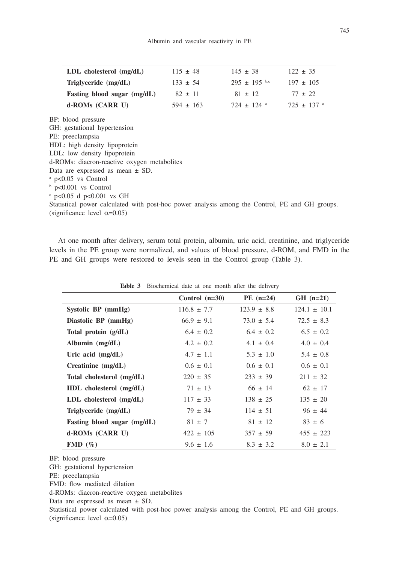| $LDL$ cholesterol $(mg/dL)$ | $115 \pm 48$  | $145 \pm 38$             | $122 \pm 35$               |
|-----------------------------|---------------|--------------------------|----------------------------|
| Triglyceride $(mg/dL)$      | $133 \pm 54$  | $295 + 195$ b,c          | $197 \pm 105$              |
| Fasting blood sugar (mg/dL) | $82 \pm 11$   | $81 \pm 12$              | $77 \pm 22$                |
| d-ROMs (CARR U)             | $594 \pm 163$ | $724 + 124$ <sup>a</sup> | $725 \pm 137$ <sup>a</sup> |

BP: blood pressure

GH: gestational hypertension

- PE: preeclampsia
- HDL: high density lipoprotein

LDL: low density lipoprotein

d-ROMs: diacron-reactive oxygen metabolites

- Data are expressed as mean ± SD.
- a p<0.05 vs Control

b p<0.001 vs Control

c p<0.05 d p<0.001 vs GH

Statistical power calculated with post-hoc power analysis among the Control, PE and GH groups. (significance level  $\alpha$ =0.05)

At one month after delivery, serum total protein, albumin, uric acid, creatinine, and triglyceride levels in the PE group were normalized, and values of blood pressure, d-ROM, and FMD in the PE and GH groups were restored to levels seen in the Control group (Table 3).

|                             | Control $(n=30)$ | $PE (n=24)$     | $GH$ (n=21)      |
|-----------------------------|------------------|-----------------|------------------|
| Systolic BP (mmHg)          | $116.8 \pm 7.7$  | $123.9 \pm 8.8$ | $124.1 \pm 10.1$ |
| Diastolic BP (mmHg)         | $66.9 \pm 9.1$   | $73.0 \pm 5.4$  | $72.5 \pm 8.3$   |
| Total protein $(g/dL)$      | $6.4 \pm 0.2$    | $6.4 \pm 0.2$   | $6.5 \pm 0.2$    |
| Albumin $(mg/dL)$           | $4.2 \pm 0.2$    | $4.1 \pm 0.4$   | $4.0 \pm 0.4$    |
| Uric acid $(mg/dL)$         | $4.7 \pm 1.1$    | $5.3 \pm 1.0$   | $5.4 \pm 0.8$    |
| $C$ reatinine $(mg/dL)$     | $0.6 \pm 0.1$    | $0.6 \pm 0.1$   | $0.6 \pm 0.1$    |
| Total cholesterol (mg/dL)   | $220 \pm 35$     | $233 \pm 39$    | $211 \pm 32$     |
| $HDL$ cholesterol $(mg/dL)$ | $71 \pm 13$      | $66 \pm 14$     | $62 \pm 17$      |
| LDL cholesterol (mg/dL)     | $117 \pm 33$     | $138 \pm 25$    | $135 \pm 20$     |
| Triglyceride $(mg/dL)$      | $79 \pm 34$      | $114 \pm 51$    | $96 \pm 44$      |
| Fasting blood sugar (mg/dL) | $81 \pm 7$       | $81 \pm 12$     | $83 \pm 6$       |
| d-ROMs (CARR U)             | $422 \pm 105$    | $357 \pm 59$    | $455 \pm 223$    |
| FMD $(\% )$                 | $9.6 \pm 1.6$    | $8.3 \pm 3.2$   | $8.0 \pm 2.1$    |

**Table 3** Biochemical date at one month after the delivery

BP: blood pressure

GH: gestational hypertension

- PE: preeclampsia
- FMD: flow mediated dilation

d-ROMs: diacron-reactive oxygen metabolites

Data are expressed as mean ± SD.

Statistical power calculated with post-hoc power analysis among the Control, PE and GH groups. (significance level  $\alpha$ =0.05)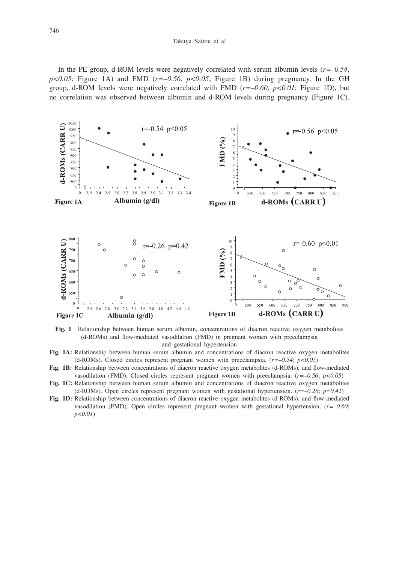#### Takuya Saitou et al

In the PE group, d-ROM levels were negatively correlated with serum albumin levels (*r=–0.54*,  $p \le 0.05$ ; Figure 1A) and FMD ( $r = -0.56$ ,  $p \le 0.05$ ; Figure 1B) during pregnancy. In the GH group, d-ROM levels were negatively correlated with FMD (*r=–0.60*, *p<0.01*; Figure 1D), but no correlation was observed between albumin and d-ROM levels during pregnancy (Figure 1C).



**Fig. 1** Relationship between human serum albumin, concentrations of diacron reactive oxygen metabolites (d-ROMs) and flow-mediated vasodilation (FMD) in pregnant women with preeclampsia and gestational hypertension

- **Fig. 1A:** Relationship between human serum albumin and concentrations of diacron reactive oxygen metabolites (d-ROMs). Closed circles represent pregnant women with preeclampsia. (*r=–0.54*; *p<0.05*)
- **Fig. 1B:** Relationship between concentrations of diacron reactive oxygen metabolites (d-ROMs), and flow-mediated vasodilation (FMD). Closed circles represent pregnant women with preeclampsia. (*r=–0.56*; *p<0.05*)
- **Fig. 1C:** Relationship between human serum albumin and concentrations of diacron reactive oxygen metabolites (d-ROMs). Open circles represent pregnant women with gestational hypertension. (*r=–0.26*; *p=0.42*)
- **Fig. 1D:** Relationship between concentrations of diacron reactive oxygen metabolites (d-ROMs), and flow-mediated vasodilation (FMD). Open circles represent pregnant women with gestational hypertension. (*r=–0.60*; *p<0.01*)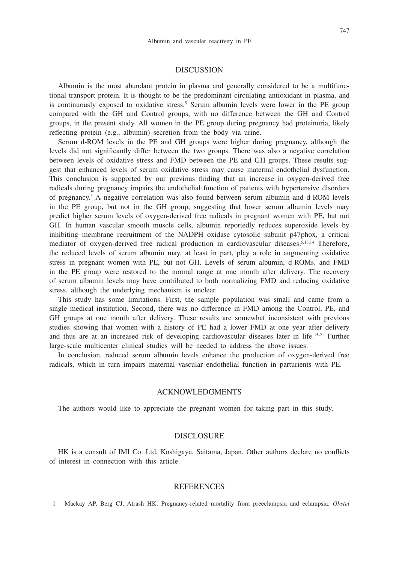## **DISCUSSION**

Albumin is the most abundant protein in plasma and generally considered to be a multifunctional transport protein. It is thought to be the predominant circulating antioxidant in plasma, and is continuously exposed to oxidative stress.<sup>5</sup> Serum albumin levels were lower in the PE group compared with the GH and Control groups, with no difference between the GH and Control groups, in the present study. All women in the PE group during pregnancy had proteinuria, likely reflecting protein (e.g., albumin) secretion from the body via urine.

Serum d-ROM levels in the PE and GH groups were higher during pregnancy, although the levels did not significantly differ between the two groups. There was also a negative correlation between levels of oxidative stress and FMD between the PE and GH groups. These results suggest that enhanced levels of serum oxidative stress may cause maternal endothelial dysfunction. This conclusion is supported by our previous finding that an increase in oxygen-derived free radicals during pregnancy impairs the endothelial function of patients with hypertensive disorders of pregnancy.3 A negative correlation was also found between serum albumin and d-ROM levels in the PE group, but not in the GH group, suggesting that lower serum albumin levels may predict higher serum levels of oxygen-derived free radicals in pregnant women with PE, but not GH. In human vascular smooth muscle cells, albumin reportedly reduces superoxide levels by inhibiting membrane recruitment of the NADPH oxidase cytosolic subunit p47phox, a critical mediator of oxygen-derived free radical production in cardiovascular diseases.5,13,14 Therefore, the reduced levels of serum albumin may, at least in part, play a role in augmenting oxidative stress in pregnant women with PE, but not GH. Levels of serum albumin, d-ROMs, and FMD in the PE group were restored to the normal range at one month after delivery. The recovery of serum albumin levels may have contributed to both normalizing FMD and reducing oxidative stress, although the underlying mechanism is unclear.

This study has some limitations. First, the sample population was small and came from a single medical institution. Second, there was no difference in FMD among the Control, PE, and GH groups at one month after delivery. These results are somewhat inconsistent with previous studies showing that women with a history of PE had a lower FMD at one year after delivery and thus are at an increased risk of developing cardiovascular diseases later in life.<sup>15-21</sup> Further large-scale multicenter clinical studies will be needed to address the above issues.

In conclusion, reduced serum albumin levels enhance the production of oxygen-derived free radicals, which in turn impairs maternal vascular endothelial function in parturients with PE.

### ACKNOWLEDGMENTS

The authors would like to appreciate the pregnant women for taking part in this study.

## DISCLOSURE

HK is a consult of IMI Co. Ltd, Koshigaya, Saitama, Japan. Other authors declare no conflicts of interest in connection with this article.

## **REFERENCES**

1 Mackay AP, Berg CJ, Atrash HK. Pregnancy-related mortality from preeclampsia and eclampsia. *Obstet*